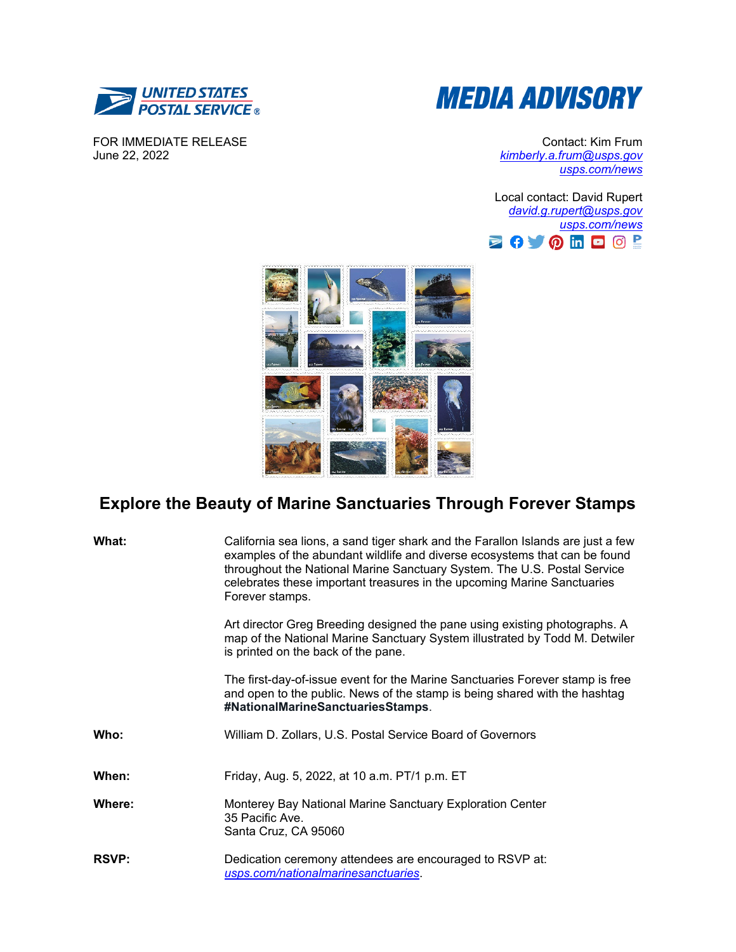



FOR IMMEDIATE RELEASE June 22, 2022

Contact: Kim Frum *[kimberly.a.frum@usps.gov](mailto:kimberly.a.frum@usps.gov) [usps.com/news](https://about.usps.com/newsroom/)*

Local contact: David Rupert *[david.g.rupert@usps.gov](mailto:david.g.rupert@usps.gov) [usps.com/news](https://about.usps.com/newsroom/)* 



## **Explore the Beauty of Marine Sanctuaries Through Forever Stamps**

| What:        | California sea lions, a sand tiger shark and the Farallon Islands are just a few<br>examples of the abundant wildlife and diverse ecosystems that can be found<br>throughout the National Marine Sanctuary System. The U.S. Postal Service<br>celebrates these important treasures in the upcoming Marine Sanctuaries<br>Forever stamps. |
|--------------|------------------------------------------------------------------------------------------------------------------------------------------------------------------------------------------------------------------------------------------------------------------------------------------------------------------------------------------|
|              | Art director Greg Breeding designed the pane using existing photographs. A<br>map of the National Marine Sanctuary System illustrated by Todd M. Detwiler<br>is printed on the back of the pane.                                                                                                                                         |
|              | The first-day-of-issue event for the Marine Sanctuaries Forever stamp is free<br>and open to the public. News of the stamp is being shared with the hashtag<br>#NationalMarineSanctuariesStamps.                                                                                                                                         |
| Who:         | William D. Zollars, U.S. Postal Service Board of Governors                                                                                                                                                                                                                                                                               |
| When:        | Friday, Aug. 5, 2022, at 10 a.m. PT/1 p.m. ET                                                                                                                                                                                                                                                                                            |
| Where:       | Monterey Bay National Marine Sanctuary Exploration Center<br>35 Pacific Ave.<br>Santa Cruz, CA 95060                                                                                                                                                                                                                                     |
| <b>RSVP:</b> | Dedication ceremony attendees are encouraged to RSVP at:<br>usps.com/nationalmarinesanctuaries.                                                                                                                                                                                                                                          |